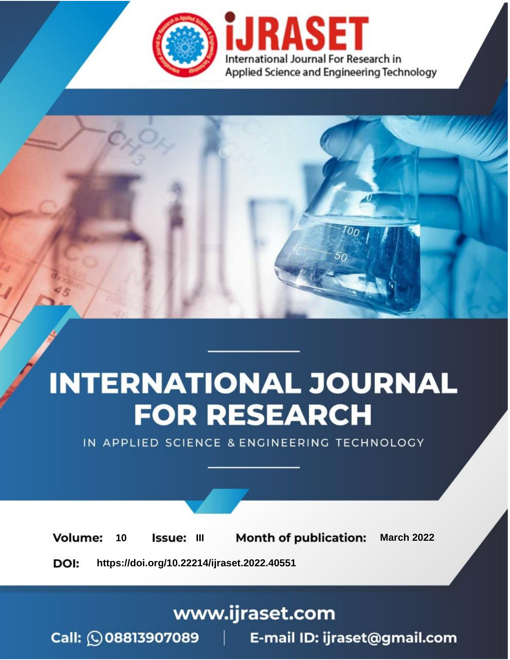

# **INTERNATIONAL JOURNAL FOR RESEARCH**

IN APPLIED SCIENCE & ENGINEERING TECHNOLOGY

10 **Issue: III Month of publication:** March 2022 **Volume:** 

**https://doi.org/10.22214/ijraset.2022.40551**DOI:

www.ijraset.com

Call: 008813907089 | E-mail ID: ijraset@gmail.com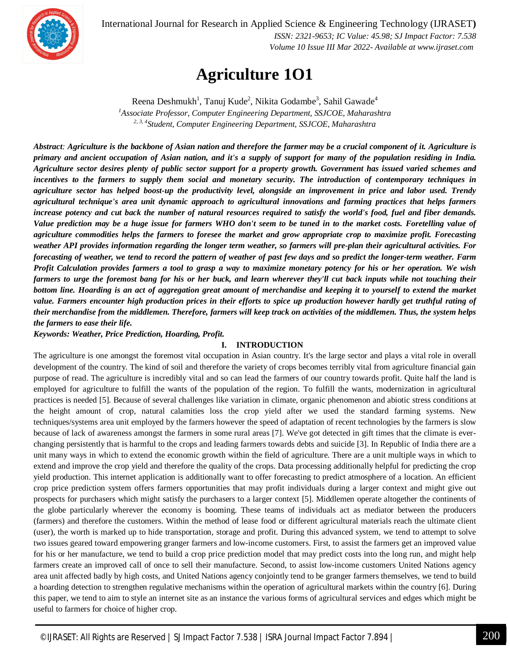International Journal for Research in Applied Science & Engineering Technology (IJRASET**)**



 *ISSN: 2321-9653; IC Value: 45.98; SJ Impact Factor: 7.538 Volume 10 Issue III Mar 2022- Available at www.ijraset.com*

### **Agriculture 1O1**

Reena Deshmukh $^1$ , Tanuj Kude $^2$ , Nikita Godambe $^3$ , Sahil Gawade $^4$ *<sup>1</sup>Associate Professor, Computer Engineering Department, SSJCOE, Maharashtra 2, 3, 4 Student, Computer Engineering Department, SSJCOE, Maharashtra*

*Abstract: Agriculture is the backbone of Asian nation and therefore the farmer may be a crucial component of it. Agriculture is primary and ancient occupation of Asian nation, and it's a supply of support for many of the population residing in India. Agriculture sector desires plenty of public sector support for a property growth. Government has issued varied schemes and incentives to the farmers to supply them social and monetary security. The introduction of contemporary techniques in agriculture sector has helped boost-up the productivity level, alongside an improvement in price and labor used. Trendy agricultural technique's area unit dynamic approach to agricultural innovations and farming practices that helps farmers increase potency and cut back the number of natural resources required to satisfy the world's food, fuel and fiber demands. Value prediction may be a huge issue for farmers WHO don't seem to be tuned in to the market costs. Foretelling value of agriculture commodities helps the farmers to foresee the market and grow appropriate crop to maximize profit. Forecasting weather API provides information regarding the longer term weather, so farmers will pre-plan their agricultural activities. For forecasting of weather, we tend to record the pattern of weather of past few days and so predict the longer-term weather. Farm Profit Calculation provides farmers a tool to grasp a way to maximize monetary potency for his or her operation. We wish farmers to urge the foremost bang for his or her buck, and learn wherever they'll cut back inputs while not touching their bottom line. Hoarding is an act of aggregation great amount of merchandise and keeping it to yourself to extend the market value. Farmers encounter high production prices in their efforts to spice up production however hardly get truthful rating of their merchandise from the middlemen. Therefore, farmers will keep track on activities of the middlemen. Thus, the system helps the farmers to ease their life.*

*Keywords: Weather, Price Prediction, Hoarding, Profit.*

#### **I. INTRODUCTION**

The agriculture is one amongst the foremost vital occupation in Asian country. It's the large sector and plays a vital role in overall development of the country. The kind of soil and therefore the variety of crops becomes terribly vital from agriculture financial gain purpose of read. The agriculture is incredibly vital and so can lead the farmers of our country towards profit. Quite half the land is employed for agriculture to fulfill the wants of the population of the region. To fulfill the wants, modernization in agricultural practices is needed [5]. Because of several challenges like variation in climate, organic phenomenon and abiotic stress conditions at the height amount of crop, natural calamities loss the crop yield after we used the standard farming systems. New techniques/systems area unit employed by the farmers however the speed of adaptation of recent technologies by the farmers is slow because of lack of awareness amongst the farmers in some rural areas [7]. We've got detected in gift times that the climate is everchanging persistently that is harmful to the crops and leading farmers towards debts and suicide [3]. In Republic of India there are a unit many ways in which to extend the economic growth within the field of agriculture. There are a unit multiple ways in which to extend and improve the crop yield and therefore the quality of the crops. Data processing additionally helpful for predicting the crop yield production. This internet application is additionally want to offer forecasting to predict atmosphere of a location. An efficient crop price prediction system offers farmers opportunities that may profit individuals during a larger context and might give out prospects for purchasers which might satisfy the purchasers to a larger context [5]. Middlemen operate altogether the continents of the globe particularly wherever the economy is booming. These teams of individuals act as mediator between the producers (farmers) and therefore the customers. Within the method of lease food or different agricultural materials reach the ultimate client (user), the worth is marked up to hide transportation, storage and profit. During this advanced system, we tend to attempt to solve two issues geared toward empowering granger farmers and low-income customers. First, to assist the farmers get an improved value for his or her manufacture, we tend to build a crop price prediction model that may predict costs into the long run, and might help farmers create an improved call of once to sell their manufacture. Second, to assist low-income customers United Nations agency area unit affected badly by high costs, and United Nations agency conjointly tend to be granger farmers themselves, we tend to build a hoarding detection to strengthen regulative mechanisms within the operation of agricultural markets within the country [6]. During this paper, we tend to aim to style an internet site as an instance the various forms of agricultural services and edges which might be useful to farmers for choice of higher crop.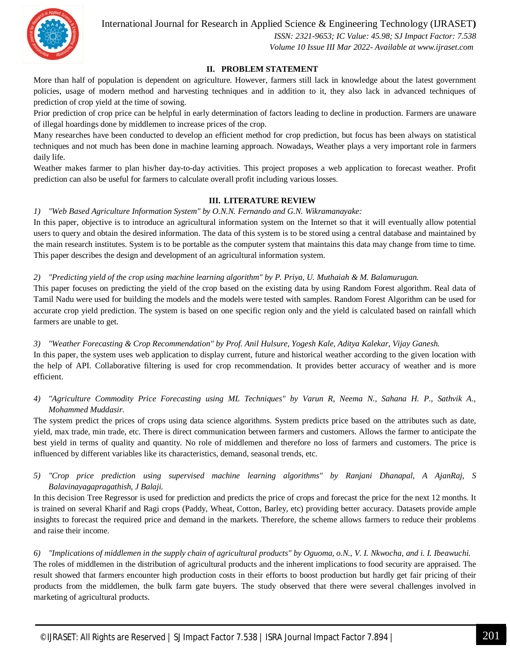International Journal for Research in Applied Science & Engineering Technology (IJRASET**)**



 *ISSN: 2321-9653; IC Value: 45.98; SJ Impact Factor: 7.538 Volume 10 Issue III Mar 2022- Available at www.ijraset.com*

#### **II. PROBLEM STATEMENT**

More than half of population is dependent on agriculture. However, farmers still lack in knowledge about the latest government policies, usage of modern method and harvesting techniques and in addition to it, they also lack in advanced techniques of prediction of crop yield at the time of sowing.

Prior prediction of crop price can be helpful in early determination of factors leading to decline in production. Farmers are unaware of illegal hoardings done by middlemen to increase prices of the crop.

Many researches have been conducted to develop an efficient method for crop prediction, but focus has been always on statistical techniques and not much has been done in machine learning approach. Nowadays, Weather plays a very important role in farmers daily life.

Weather makes farmer to plan his/her day-to-day activities. This project proposes a web application to forecast weather. Profit prediction can also be useful for farmers to calculate overall profit including various losses.

#### **III. LITERATURE REVIEW**

*1) "Web Based Agriculture Information System" by O.N.N. Fernando and G.N. Wikramanayake:*

In this paper, objective is to introduce an agricultural information system on the Internet so that it will eventually allow potential users to query and obtain the desired information. The data of this system is to be stored using a central database and maintained by the main research institutes. System is to be portable as the computer system that maintains this data may change from time to time. This paper describes the design and development of an agricultural information system.

#### *2) "Predicting yield of the crop using machine learning algorithm" by P. Priya, U. Muthaiah & M. Balamurugan.*

This paper focuses on predicting the yield of the crop based on the existing data by using Random Forest algorithm. Real data of Tamil Nadu were used for building the models and the models were tested with samples. Random Forest Algorithm can be used for accurate crop yield prediction. The system is based on one specific region only and the yield is calculated based on rainfall which farmers are unable to get.

#### *3) "Weather Forecasting & Crop Recommendation" by Prof. Anil Hulsure, Yogesh Kale, Aditya Kalekar, Vijay Ganesh.*

In this paper, the system uses web application to display current, future and historical weather according to the given location with the help of API. Collaborative filtering is used for crop recommendation. It provides better accuracy of weather and is more efficient.

#### *4) "Agriculture Commodity Price Forecasting using ML Techniques" by Varun R, Neema N., Sahana H. P., Sathvik A., Mohammed Muddasir.*

The system predict the prices of crops using data science algorithms. System predicts price based on the attributes such as date, yield, max trade, min trade, etc. There is direct communication between farmers and customers. Allows the farmer to anticipate the best yield in terms of quality and quantity. No role of middlemen and therefore no loss of farmers and customers. The price is influenced by different variables like its characteristics, demand, seasonal trends, etc.

#### *5) "Crop price prediction using supervised machine learning algorithms" by Ranjani Dhanapal, A AjanRaj, S Balavinayagapragathish, J Balaji.*

In this decision Tree Regressor is used for prediction and predicts the price of crops and forecast the price for the next 12 months. It is trained on several Kharif and Ragi crops (Paddy, Wheat, Cotton, Barley, etc) providing better accuracy. Datasets provide ample insights to forecast the required price and demand in the markets. Therefore, the scheme allows farmers to reduce their problems and raise their income.

*6) "Implications of middlemen in the supply chain of agricultural products" by Oguoma, o.N., V. I. Nkwocha, and i. I. Ibeawuchi.* The roles of middlemen in the distribution of agricultural products and the inherent implications to food security are appraised. The result showed that farmers encounter high production costs in their efforts to boost production but hardly get fair pricing of their products from the middlemen, the bulk farm gate buyers. The study observed that there were several challenges involved in marketing of agricultural products.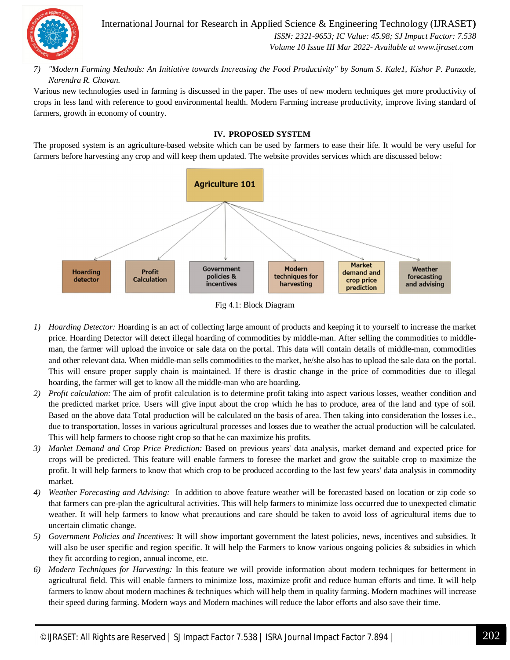

International Journal for Research in Applied Science & Engineering Technology (IJRASET**)**  *ISSN: 2321-9653; IC Value: 45.98; SJ Impact Factor: 7.538 Volume 10 Issue III Mar 2022- Available at www.ijraset.com*

*7) "Modern Farming Methods: An Initiative towards Increasing the Food Productivity" by Sonam S. Kale1, Kishor P. Panzade, Narendra R. Chavan.*

Various new technologies used in farming is discussed in the paper. The uses of new modern techniques get more productivity of crops in less land with reference to good environmental health. Modern Farming increase productivity, improve living standard of farmers, growth in economy of country.

#### **IV. PROPOSED SYSTEM**

The proposed system is an agriculture-based website which can be used by farmers to ease their life. It would be very useful for farmers before harvesting any crop and will keep them updated. The website provides services which are discussed below:





- *1) Hoarding Detector:* Hoarding is an act of collecting large amount of products and keeping it to yourself to increase the market price. Hoarding Detector will detect illegal hoarding of commodities by middle-man. After selling the commodities to middleman, the farmer will upload the invoice or sale data on the portal. This data will contain details of middle-man, commodities and other relevant data. When middle-man sells commodities to the market, he/she also has to upload the sale data on the portal. This will ensure proper supply chain is maintained. If there is drastic change in the price of commodities due to illegal hoarding, the farmer will get to know all the middle-man who are hoarding.
- *2) Profit calculation:* The aim of profit calculation is to determine profit taking into aspect various losses, weather condition and the predicted market price. Users will give input about the crop which he has to produce, area of the land and type of soil. Based on the above data Total production will be calculated on the basis of area. Then taking into consideration the losses i.e., due to transportation, losses in various agricultural processes and losses due to weather the actual production will be calculated. This will help farmers to choose right crop so that he can maximize his profits.
- *3) Market Demand and Crop Price Prediction:* Based on previous years' data analysis, market demand and expected price for crops will be predicted. This feature will enable farmers to foresee the market and grow the suitable crop to maximize the profit. It will help farmers to know that which crop to be produced according to the last few years' data analysis in commodity market.
- *4) Weather Forecasting and Advising:* In addition to above feature weather will be forecasted based on location or zip code so that farmers can pre-plan the agricultural activities. This will help farmers to minimize loss occurred due to unexpected climatic weather. It will help farmers to know what precautions and care should be taken to avoid loss of agricultural items due to uncertain climatic change.
- *5) Government Policies and Incentives:* It will show important government the latest policies, news, incentives and subsidies. It will also be user specific and region specific. It will help the Farmers to know various ongoing policies & subsidies in which they fit according to region, annual income, etc.
- *6) Modern Techniques for Harvesting:* In this feature we will provide information about modern techniques for betterment in agricultural field. This will enable farmers to minimize loss, maximize profit and reduce human efforts and time. It will help farmers to know about modern machines & techniques which will help them in quality farming. Modern machines will increase their speed during farming. Modern ways and Modern machines will reduce the labor efforts and also save their time.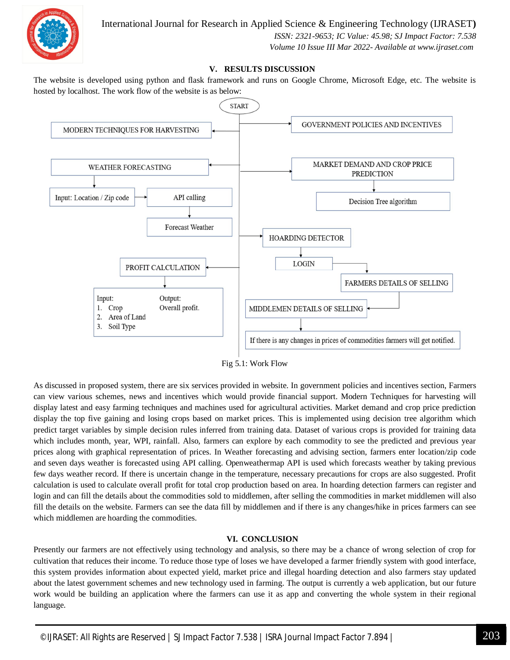

 *ISSN: 2321-9653; IC Value: 45.98; SJ Impact Factor: 7.538 Volume 10 Issue III Mar 2022- Available at www.ijraset.com*

#### **V. RESULTS DISCUSSION**

The website is developed using python and flask framework and runs on Google Chrome, Microsoft Edge, etc. The website is hosted by localhost. The work flow of the website is as below:



Fig 5.1: Work Flow

As discussed in proposed system, there are six services provided in website. In government policies and incentives section, Farmers can view various schemes, news and incentives which would provide financial support. Modern Techniques for harvesting will display latest and easy farming techniques and machines used for agricultural activities. Market demand and crop price prediction display the top five gaining and losing crops based on market prices. This is implemented using decision tree algorithm which predict target variables by simple decision rules inferred from training data. Dataset of various crops is provided for training data which includes month, year, WPI, rainfall. Also, farmers can explore by each commodity to see the predicted and previous year prices along with graphical representation of prices. In Weather forecasting and advising section, farmers enter location/zip code and seven days weather is forecasted using API calling. Openweathermap API is used which forecasts weather by taking previous few days weather record. If there is uncertain change in the temperature, necessary precautions for crops are also suggested. Profit calculation is used to calculate overall profit for total crop production based on area. In hoarding detection farmers can register and login and can fill the details about the commodities sold to middlemen, after selling the commodities in market middlemen will also fill the details on the website. Farmers can see the data fill by middlemen and if there is any changes/hike in prices farmers can see which middlemen are hoarding the commodities.

#### **VI. CONCLUSION**

Presently our farmers are not effectively using technology and analysis, so there may be a chance of wrong selection of crop for cultivation that reduces their income. To reduce those type of loses we have developed a farmer friendly system with good interface, this system provides information about expected yield, market price and illegal hoarding detection and also farmers stay updated about the latest government schemes and new technology used in farming. The output is currently a web application, but our future work would be building an application where the farmers can use it as app and converting the whole system in their regional language.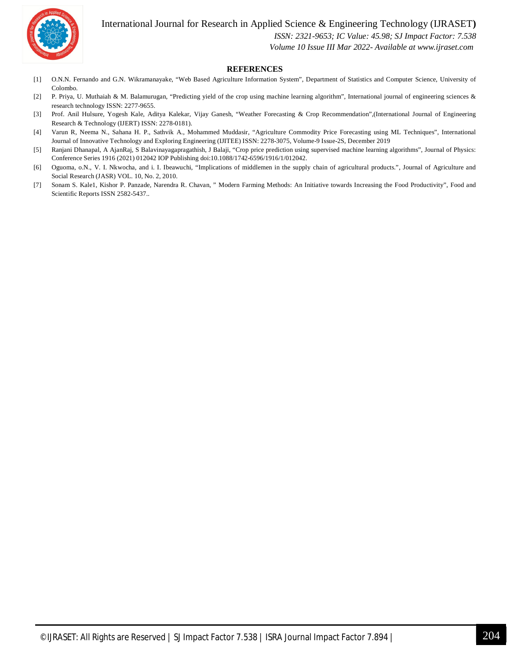

International Journal for Research in Applied Science & Engineering Technology (IJRASET**)**

 *ISSN: 2321-9653; IC Value: 45.98; SJ Impact Factor: 7.538*

 *Volume 10 Issue III Mar 2022- Available at www.ijraset.com*

#### **REFERENCES**

- [1] O.N.N. Fernando and G.N. Wikramanayake, "Web Based Agriculture Information System", Department of Statistics and Computer Science, University of Colombo.
- [2] P. Priya, U. Muthaiah & M. Balamurugan, "Predicting yield of the crop using machine learning algorithm", International journal of engineering sciences & research technology ISSN: 2277-9655.
- [3] Prof. Anil Hulsure, Yogesh Kale, Aditya Kalekar, Vijay Ganesh, "Weather Forecasting & Crop Recommendation",(International Journal of Engineering Research & Technology (IJERT) ISSN: 2278-0181).
- [4] Varun R, Neema N., Sahana H. P., Sathvik A., Mohammed Muddasir, "Agriculture Commodity Price Forecasting using ML Techniques", International Journal of Innovative Technology and Exploring Engineering (IJITEE) ISSN: 2278-3075, Volume-9 Issue-2S, December 2019
- [5] Ranjani Dhanapal, A AjanRaj, S Balavinayagapragathish, J Balaji, "Crop price prediction using supervised machine learning algorithms", Journal of Physics: Conference Series 1916 (2021) 012042 IOP Publishing doi:10.1088/1742-6596/1916/1/012042.
- [6] Oguoma, o.N., V. I. Nkwocha, and i. I. Ibeawuchi, "Implications of middlemen in the supply chain of agricultural products.", Journal of Agriculture and Social Research (JASR) VOL. 10, No. 2, 2010.
- [7] Sonam S. Kale1, Kishor P. Panzade, Narendra R. Chavan, " Modern Farming Methods: An Initiative towards Increasing the Food Productivity", Food and Scientific Reports ISSN 2582-5437..